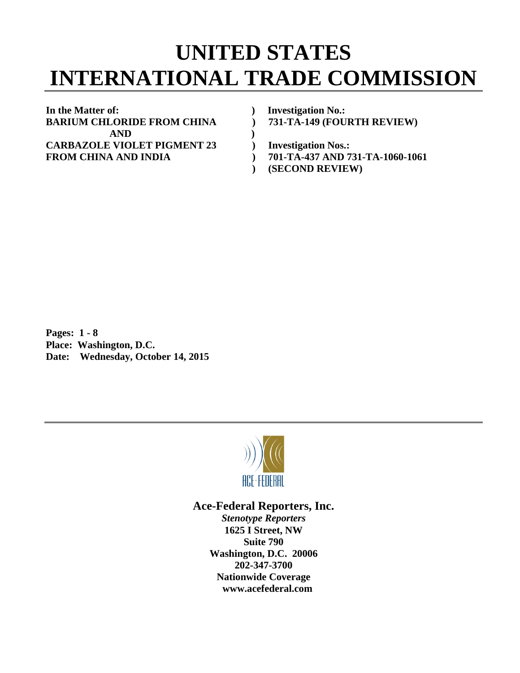## **UNITED STATES INTERNATIONAL TRADE COMMISSION**

**In the Matter of: ) Investigation No.: BARIUM CHLORIDE FROM CHINA ) 731-TA-149 (FOURTH REVIEW) AND ) CARBAZOLE VIOLET PIGMENT 23 ) Investigation Nos.: FROM CHINA AND INDIA ) 701-TA-437 AND 731-TA-1060-1061** 

- 
- **) (SECOND REVIEW)**

**Pages: 1 - 8 Place: Washington, D.C. Date: Wednesday, October 14, 2015** 



## **Ace-Federal Reporters, Inc.**  *Stenotype Reporters*

**1625 I Street, NW Suite 790 Washington, D.C. 20006 202-347-3700 Nationwide Coverage www.acefederal.com**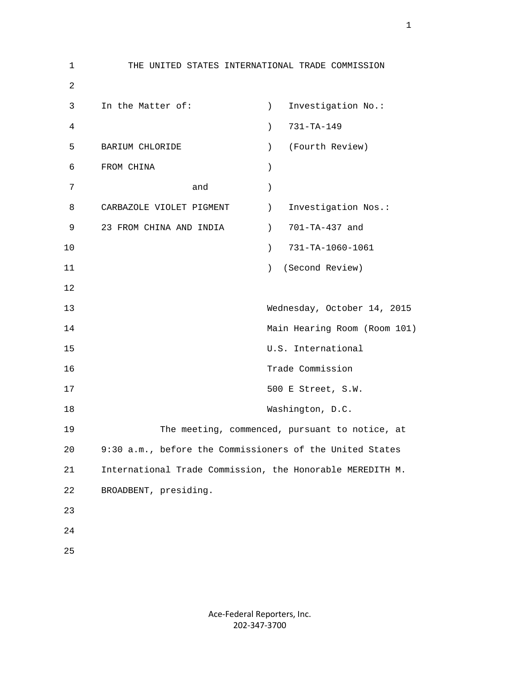1 THE UNITED STATES INTERNATIONAL TRADE COMMISSION 2 3 In the Matter of: (a) Investigation No.: 4 ) 731-TA-149 5 BARIUM CHLORIDE ) (Fourth Review) 6 FROM CHINA ) 7 and ) 8 CARBAZOLE VIOLET PIGMENT ) Investigation Nos.: 9 23 FROM CHINA AND INDIA (2008) 701-TA-437 and 10 ) 731-TA-1060-1061 11 ) (Second Review) 12 13 Wednesday, October 14, 2015 14 Main Hearing Room (Room 101) 15 U.S. International 16 Trade Commission 17 500 E Street, S.W. 18 Washington, D.C. 19 The meeting, commenced, pursuant to notice, at 20 9:30 a.m., before the Commissioners of the United States 21 International Trade Commission, the Honorable MEREDITH M. 22 BROADBENT, presiding. 23 24 25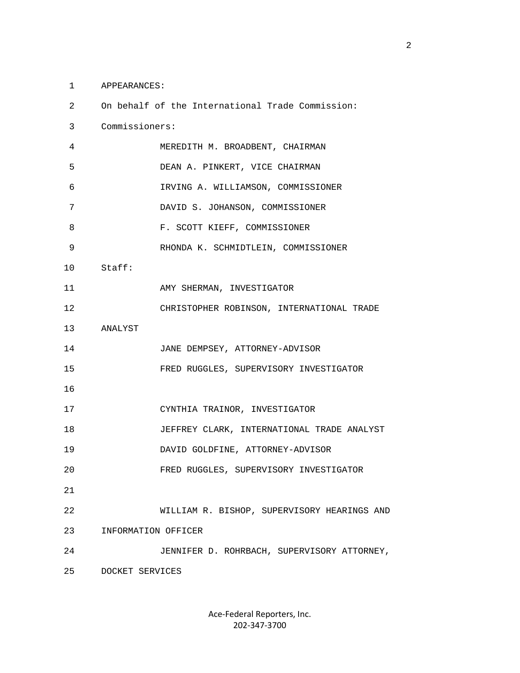## 1 APPEARANCES:

| 2  |                     | On behalf of the International Trade Commission: |
|----|---------------------|--------------------------------------------------|
| 3  | Commissioners:      |                                                  |
| 4  |                     | MEREDITH M. BROADBENT, CHAIRMAN                  |
| 5  |                     | DEAN A. PINKERT, VICE CHAIRMAN                   |
| 6  |                     | IRVING A. WILLIAMSON, COMMISSIONER               |
| 7  |                     | DAVID S. JOHANSON, COMMISSIONER                  |
| 8  |                     | F. SCOTT KIEFF, COMMISSIONER                     |
| 9  |                     | RHONDA K. SCHMIDTLEIN, COMMISSIONER              |
| 10 | Staff:              |                                                  |
| 11 |                     | AMY SHERMAN, INVESTIGATOR                        |
| 12 |                     | CHRISTOPHER ROBINSON, INTERNATIONAL TRADE        |
| 13 | ANALYST             |                                                  |
| 14 |                     | JANE DEMPSEY, ATTORNEY-ADVISOR                   |
| 15 |                     | FRED RUGGLES, SUPERVISORY INVESTIGATOR           |
| 16 |                     |                                                  |
| 17 |                     | CYNTHIA TRAINOR, INVESTIGATOR                    |
| 18 |                     | JEFFREY CLARK, INTERNATIONAL TRADE ANALYST       |
| 19 |                     | DAVID GOLDFINE, ATTORNEY-ADVISOR                 |
| 20 |                     | FRED RUGGLES, SUPERVISORY INVESTIGATOR           |
| 21 |                     |                                                  |
| 22 |                     | WILLIAM R. BISHOP, SUPERVISORY HEARINGS AND      |
| 23 | INFORMATION OFFICER |                                                  |
| 24 |                     | JENNIFER D. ROHRBACH, SUPERVISORY ATTORNEY,      |
| 25 | DOCKET SERVICES     |                                                  |
|    |                     |                                                  |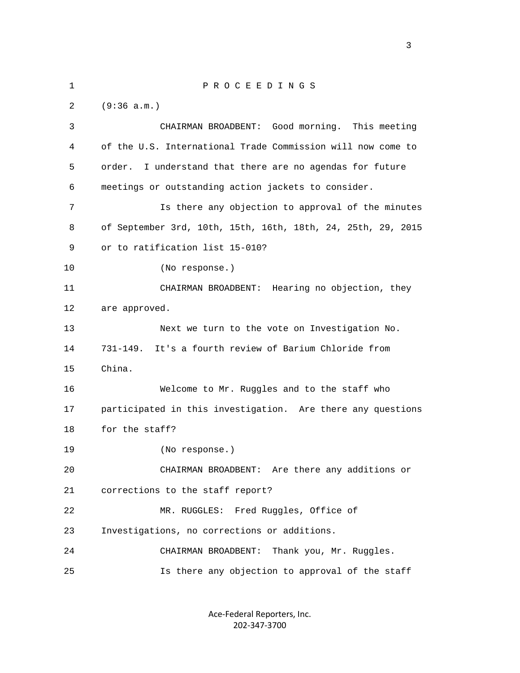1 P R O C E E D I N G S 2 (9:36 a.m.) 3 CHAIRMAN BROADBENT: Good morning. This meeting 4 of the U.S. International Trade Commission will now come to 5 order. I understand that there are no agendas for future 6 meetings or outstanding action jackets to consider. 7 Is there any objection to approval of the minutes 8 of September 3rd, 10th, 15th, 16th, 18th, 24, 25th, 29, 2015 9 or to ratification list 15-010? 10 (No response.) 11 CHAIRMAN BROADBENT: Hearing no objection, they 12 are approved. 13 Next we turn to the vote on Investigation No. 14 731-149. It's a fourth review of Barium Chloride from 15 China. 16 Welcome to Mr. Ruggles and to the staff who 17 participated in this investigation. Are there any questions 18 for the staff? 19 (No response.) 20 CHAIRMAN BROADBENT: Are there any additions or 21 corrections to the staff report? 22 MR. RUGGLES: Fred Ruggles, Office of 23 Investigations, no corrections or additions. 24 CHAIRMAN BROADBENT: Thank you, Mr. Ruggles. 25 Is there any objection to approval of the staff

> Ace‐Federal Reporters, Inc. 202‐347‐3700

<u>3</u>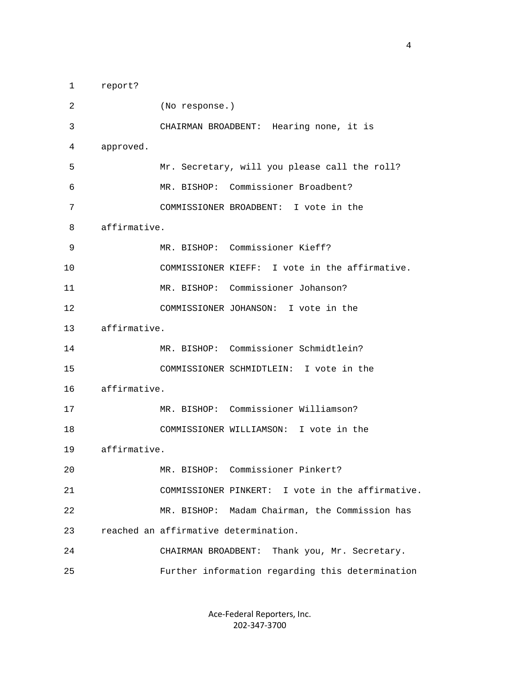1 report? 2 (No response.) 3 CHAIRMAN BROADBENT: Hearing none, it is 4 approved. 5 Mr. Secretary, will you please call the roll? 6 MR. BISHOP: Commissioner Broadbent? 7 COMMISSIONER BROADBENT: I vote in the 8 affirmative. 9 MR. BISHOP: Commissioner Kieff? 10 COMMISSIONER KIEFF: I vote in the affirmative. 11 MR. BISHOP: Commissioner Johanson? 12 COMMISSIONER JOHANSON: I vote in the 13 affirmative. 14 MR. BISHOP: Commissioner Schmidtlein? 15 COMMISSIONER SCHMIDTLEIN: I vote in the 16 affirmative. 17 MR. BISHOP: Commissioner Williamson? 18 COMMISSIONER WILLIAMSON: I vote in the 19 affirmative. 20 MR. BISHOP: Commissioner Pinkert? 21 COMMISSIONER PINKERT: I vote in the affirmative. 22 MR. BISHOP: Madam Chairman, the Commission has 23 reached an affirmative determination. 24 CHAIRMAN BROADBENT: Thank you, Mr. Secretary. 25 Further information regarding this determination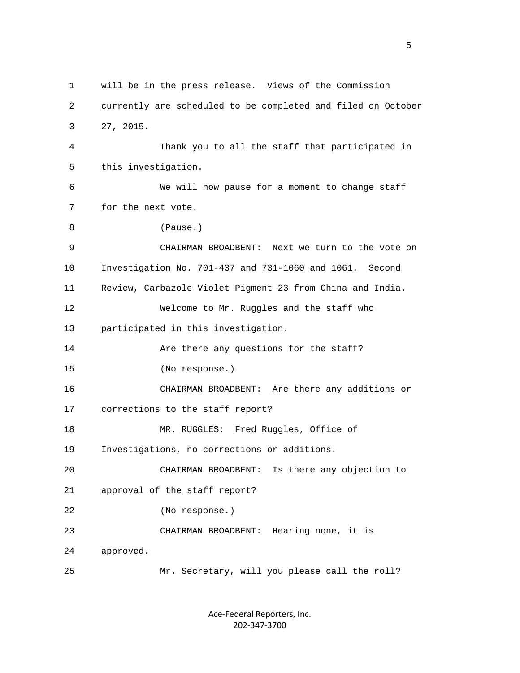1 will be in the press release. Views of the Commission 2 currently are scheduled to be completed and filed on October 3 27, 2015. 4 Thank you to all the staff that participated in 5 this investigation. 6 We will now pause for a moment to change staff 7 for the next vote. 8 (Pause.) 9 CHAIRMAN BROADBENT: Next we turn to the vote on 10 Investigation No. 701-437 and 731-1060 and 1061. Second 11 Review, Carbazole Violet Pigment 23 from China and India. 12 Welcome to Mr. Ruggles and the staff who 13 participated in this investigation. 14 Are there any questions for the staff? 15 (No response.) 16 CHAIRMAN BROADBENT: Are there any additions or 17 corrections to the staff report? 18 MR. RUGGLES: Fred Ruggles, Office of 19 Investigations, no corrections or additions. 20 CHAIRMAN BROADBENT: Is there any objection to 21 approval of the staff report? 22 (No response.) 23 CHAIRMAN BROADBENT: Hearing none, it is 24 approved. 25 Mr. Secretary, will you please call the roll?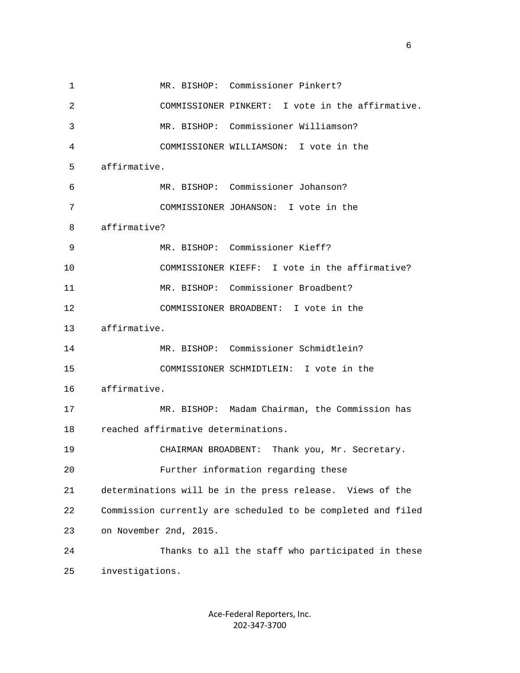1 MR. BISHOP: Commissioner Pinkert? 2 COMMISSIONER PINKERT: I vote in the affirmative. 3 MR. BISHOP: Commissioner Williamson? 4 COMMISSIONER WILLIAMSON: I vote in the 5 affirmative. 6 MR. BISHOP: Commissioner Johanson? 7 COMMISSIONER JOHANSON: I vote in the 8 affirmative? 9 MR. BISHOP: Commissioner Kieff? 10 COMMISSIONER KIEFF: I vote in the affirmative? 11 MR. BISHOP: Commissioner Broadbent? 12 COMMISSIONER BROADBENT: I vote in the 13 affirmative. 14 MR. BISHOP: Commissioner Schmidtlein? 15 COMMISSIONER SCHMIDTLEIN: I vote in the 16 affirmative. 17 MR. BISHOP: Madam Chairman, the Commission has 18 reached affirmative determinations. 19 CHAIRMAN BROADBENT: Thank you, Mr. Secretary. 20 Further information regarding these 21 determinations will be in the press release. Views of the 22 Commission currently are scheduled to be completed and filed 23 on November 2nd, 2015. 24 Thanks to all the staff who participated in these 25 investigations.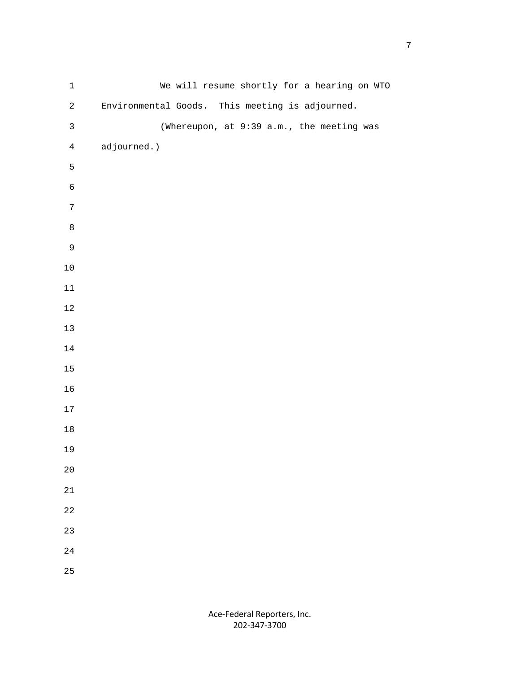| $\mathbf 1$    | We will resume shortly for a hearing on WTO     |
|----------------|-------------------------------------------------|
| $\overline{c}$ | Environmental Goods. This meeting is adjourned. |
| $\mathsf{3}$   | (Whereupon, at 9:39 a.m., the meeting was       |
| $\overline{4}$ | adjourned.)                                     |
| 5              |                                                 |
| $\epsilon$     |                                                 |
| $\overline{7}$ |                                                 |
| $\,8\,$        |                                                 |
| $\mathsf 9$    |                                                 |
| $10\,$         |                                                 |
| $11\,$         |                                                 |
| $1\,2$         |                                                 |
| $13$           |                                                 |
| $1\,4$         |                                                 |
| $15\,$         |                                                 |
| $16$           |                                                 |
| 17             |                                                 |
| $18\,$         |                                                 |
| 19             |                                                 |
| $2\,0$         |                                                 |
| $21\,$         |                                                 |
| $2\sqrt{2}$    |                                                 |
| 23             |                                                 |
| $2\sqrt{4}$    |                                                 |
| 25             |                                                 |